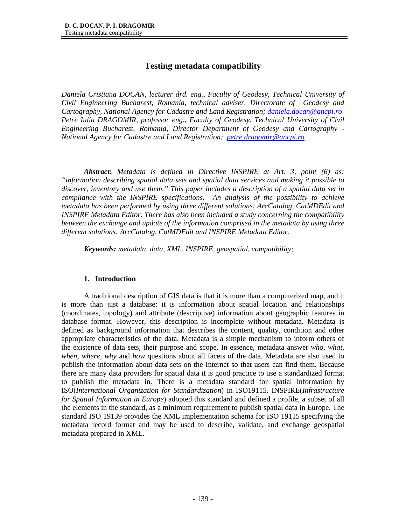# **Testing metadata compatibility**

*Daniela Cristiana DOCAN, lecturer drd. eng., Faculty of Geodesy, Technical University of Civil Engineering Bucharest, Romania, technical adviser, Directorate of Geodesy and Cartography, National Agency for Cadastre and Land Registration; daniela.docan@ancpi.ro Petre Iuliu DRAGOMIR, professor eng., Faculty of Geodesy, Technical University of Civil Engineering Bucharest, Romania, Director Department of Geodesy and Cartography - National Agency for Cadastre and Land Registration; petre.dragomir@ancpi.ro*

*Abstract***:** *Metadata is defined in Directive INSPIRE at Art. 3, point (6) as: "information describing spatial data sets and spatial data services and making it possible to discover, inventory and use them." This paper includes a description of a spatial data set in compliance with the INSPIRE specifications. An analysis of the possibility to achieve metadata has been performed by using three different solutions: ArcCatalog, CatMDEdit and INSPIRE Metadata Editor. There has also been included a study concerning the compatibility between the exchange and update of the information comprised in the metadata by using three different solutions: ArcCatalog, CatMDEdit and INSPIRE Metadata Editor.* 

*Keywords: metadata, data, XML, INSPIRE, geospatial, compatibility;* 

#### **1. Introduction**

A traditional description of GIS data is that it is more than a computerized map, and it is more than just a database: it is information about spatial location and relationships (coordinates, topology) and attribute (descriptive) information about geographic features in database format. However, this description is incomplete without metadata. Metadata is defined as background information that describes the content, quality, condition and other appropriate characteristics of the data. Metadata is a simple mechanism to inform others of the existence of data sets, their purpose and scope. In essence, metadata answer *who, what, when, where, why* and *how* questions about all facets of the data. Metadata are also used to publish the information about data sets on the Internet so that users can find them. Because there are many data providers for spatial data it is good practice to use a standardized format to publish the metadata in. There is a metadata standard for spatial information by ISO(*International Organization for Standardization*) in ISO19115. INSPIRE(*Infrastructure for Spatial Information in Europe*) adopted this standard and defined a profile, a subset of all the elements in the standard, as a minimum requirement to publish spatial data in Europe. The standard ISO 19139 provides the XML implementation schema for ISO 19115 specifying the metadata record format and may be used to describe, validate, and exchange geospatial metadata prepared in XML.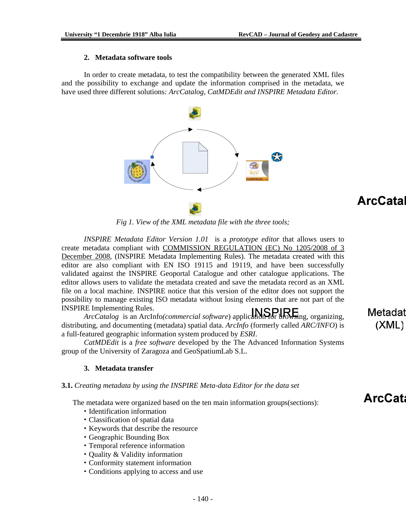#### **2. Metadata software tools**

 In order to create metadata, to test the compatibility between the generated XML files and the possibility to exchange and update the information comprised in the metadata, we have used three different solutions*: ArcCatalog, CatMDEdit and INSPIRE Metadata Editor.* 



# **ArcCatal**

*Fig 1. View of the XML metadata file with the three tools;* 

 *INSPIRE Metadata Editor Version 1.01* is a *prototype editor* that allows users to create metadata compliant with COMMISSION REGULATION (EC) No 1205/2008 of 3 December 2008, (INSPIRE Metadata Implementing Rules). The metadata created with this editor are also compliant with EN ISO 19115 and 19119, and have been successfully validated against the INSPIRE Geoportal Catalogue and other catalogue applications. The editor allows users to validate the metadata created and save the metadata record as an XML file on a local machine. INSPIRE notice that this version of the editor does not support the possibility to manage existing ISO metadata without losing elements that are not part of the INSPIRE Implementing Rules.

 *ArcCatalog* is an ArcInfo*(commercial software*) application for browsing, organizing, distributing, and documenting (metadata) spatial data. *ArcInfo* (formerly called *ARC/INFO*) is a full-featured geographic information system produced by *ESRI*.

 *CatMDEdit* is a *free software* developed by the The Advanced Information Systems group of the University of Zaragoza and GeoSpatiumLab S.L.

#### **3. Metadata transfer**

#### **3.1.** *Creating metadata by using the INSPIRE Meta-data Editor for the data set*

The metadata were organized based on the ten main information groups(sections):

- Identification information
- Classification of spatial data
- Keywords that describe the resource
- Geographic Bounding Box
- Temporal reference information
- Quality & Validity information
- Conformity statement information
- Conditions applying to access and use

Metadat  $(XML)$ 

**ArcCata**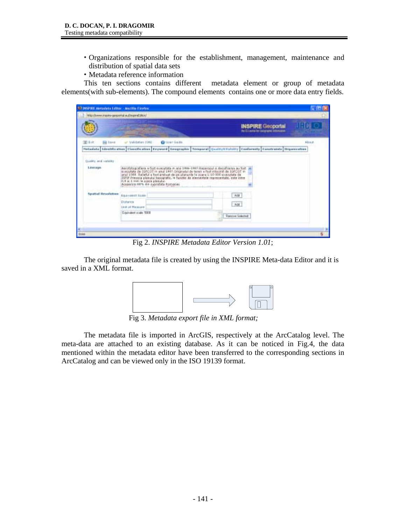- Organizations responsible for the establishment, management, maintenance and distribution of spatial data sets
- Metadata reference information

 This ten sections contains different metadata element or group of metadata elements(with sub-elements). The compound elements contains one or more data entry fields.

| 32 MPSE Aircrista Editor - Marilla Finnica   |                                                                                                                                                                                                                                                                                                                                                                                                                                       |                                                                     | $-1$ in |
|----------------------------------------------|---------------------------------------------------------------------------------------------------------------------------------------------------------------------------------------------------------------------------------------------------------------------------------------------------------------------------------------------------------------------------------------------------------------------------------------|---------------------------------------------------------------------|---------|
| Mtp://www.inapie-geoperhal.au/inspireEditor/ |                                                                                                                                                                                                                                                                                                                                                                                                                                       |                                                                     |         |
|                                              |                                                                                                                                                                                                                                                                                                                                                                                                                                       | <b>INSPIRE Geoportal</b><br>the EL point for Geographic information |         |
| 面向<br><b>Figure</b>                          | <b>Q</b> User Galda<br>or Validation (1991)<br>Petadata   Mentits alian   Classification   Eeyword   Geographic   Temporal   quality/(Valum)   Eachewaty   Camitrands   Departualism                                                                                                                                                                                                                                                  |                                                                     | About.  |
| Qualify and validay<br>Linkage               | Aerofotografiere a fost executata in anii 1998-1997.Reperziul și despfrzees au fost<br>issezutate de DGFCOT in anul 1887 Originalul de teres e fast intecnit de 19FCOT in<br>anal 1988. Raileful e fost prehaat de pe planente la scana 1:10 000 executate de<br>ISTIF Frequent planulus topografic, in function de alementarie representate, cote inten-<br>D.R st 1 men la score planului.<br>Acaperine: 88% die eupratsta Romaniei |                                                                     |         |
| <b>Spatial Resolutive</b>                    | Equivalent tosis<br>Drahamole<br><b>Link of Ressure</b><br>Equivalent scale, 5000                                                                                                                                                                                                                                                                                                                                                     | Ant<br>AM<br><b>Fashion Steamed</b>                                 |         |
| <b>DOM</b>                                   |                                                                                                                                                                                                                                                                                                                                                                                                                                       |                                                                     |         |

Fig 2. *INSPIRE Metadata Editor Version 1.01*;

 The original metadata file is created by using the INSPIRE Meta-data Editor and it is saved in a XML format.



Fig 3. *Metadata export file in XML format;* 

 The metadata file is imported in ArcGIS, respectively at the ArcCatalog level. The meta-data are attached to an existing database. As it can be noticed in Fig.4, the data mentioned within the metadata editor have been transferred to the corresponding sections in ArcCatalog and can be viewed only in the ISO 19139 format.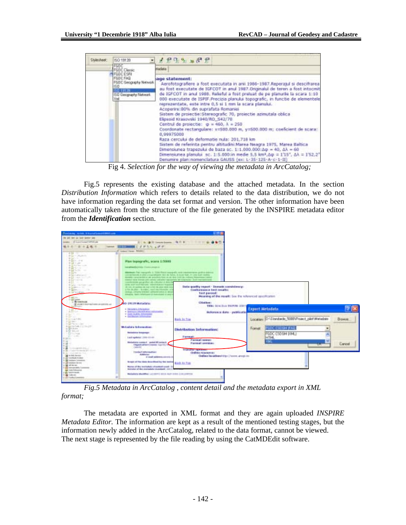| <b>BD 19139</b>                                                                                                        | 2222287                                                                                                                                                                                                       |                                                                                                                                                                                                                                                                                                                                                                                                                                                                                                                                                                                                                                                                                                                                                                                                                                |
|------------------------------------------------------------------------------------------------------------------------|---------------------------------------------------------------------------------------------------------------------------------------------------------------------------------------------------------------|--------------------------------------------------------------------------------------------------------------------------------------------------------------------------------------------------------------------------------------------------------------------------------------------------------------------------------------------------------------------------------------------------------------------------------------------------------------------------------------------------------------------------------------------------------------------------------------------------------------------------------------------------------------------------------------------------------------------------------------------------------------------------------------------------------------------------------|
| FGDC<br><b>FGDC Clarge</b>                                                                                             | Andata                                                                                                                                                                                                        |                                                                                                                                                                                                                                                                                                                                                                                                                                                                                                                                                                                                                                                                                                                                                                                                                                |
| FGDCESRI<br><b>FGDC FAD</b><br><b>FGDC Geography Network</b><br>$150 -$<br>150315135<br>150 Geography Metwork.<br>20sf | age statement:<br>Acoperire:80% din suprafata Romaniei<br>Elpsoid Krasovski 1940/RD S42/70<br>Centrul de projectie: $\phi = 460, \lambda = 250$<br>0.99975000<br>Raza cercului de deformatie nula: 201,718 km | Aerofotografiere a fost executata in anii 1986-1987.Reperatul si descifrarea<br>au fost executate de IGFCOT in anul 1987. Originalul de teren a fost intocmit<br>de MFCOT in and 1988. Relieful a fost preluat de pe planurie la scara 1:10<br>000 executate de ISPIF. Precizia planului topografic, in functie de elementele<br>reprezentate, este intre 0,5 si 1 mm la scara planului.<br>Sistem de proiectie:Stereografic 70, proiectie apmutals oblica-<br>Coordonate rectangulare: x=500.000 m, y=500.000 m; coeficient de scara:<br>Sistem de referinta pentru altitudini:Marea Neagra 1975, Marea Baltica<br>Dimensiunea trapezului de baza sc. 1:1.000.000:Ap = 40, AA = 60<br>Dimensiunea planului (sc. 1:5.000:in medie 5.5 km2.6p = 1'15", AA = 1'52.2"<br>Denumire plan:nomenclatura GAUSS (ex: L-35-125-A-c-1-II) |

Fig 4. *Selection for the way of viewing the metadata in ArcCatalog;* 

 Fig.5 represents the existing database and the attached metadata. In the section *Distribution Information* which refers to details related to the data distribution, we do not have information regarding the data set format and version. The other information have been automatically taken from the structure of the file generated by the INSPIRE metadata editor from the *Identification* section.

| Jacken with Electrometers on                                                                                                                                                                                                                                                                                                                                                                                                                                         |                                                                                                                                                                                                                                                                                                                                                                                                                                                                                                                                                                                                                                                                                                                                                                                                                                  |                                                                                                                                                                                                |                                                                        |               |
|----------------------------------------------------------------------------------------------------------------------------------------------------------------------------------------------------------------------------------------------------------------------------------------------------------------------------------------------------------------------------------------------------------------------------------------------------------------------|----------------------------------------------------------------------------------------------------------------------------------------------------------------------------------------------------------------------------------------------------------------------------------------------------------------------------------------------------------------------------------------------------------------------------------------------------------------------------------------------------------------------------------------------------------------------------------------------------------------------------------------------------------------------------------------------------------------------------------------------------------------------------------------------------------------------------------|------------------------------------------------------------------------------------------------------------------------------------------------------------------------------------------------|------------------------------------------------------------------------|---------------|
| the job two do lost taxter two                                                                                                                                                                                                                                                                                                                                                                                                                                       |                                                                                                                                                                                                                                                                                                                                                                                                                                                                                                                                                                                                                                                                                                                                                                                                                                  |                                                                                                                                                                                                |                                                                        |               |
| Francisco President<br><b>SALES CO.</b>                                                                                                                                                                                                                                                                                                                                                                                                                              | <b>STAGERHOOD</b> REF. THER GOD.                                                                                                                                                                                                                                                                                                                                                                                                                                                                                                                                                                                                                                                                                                                                                                                                 |                                                                                                                                                                                                |                                                                        |               |
| 地中的广播和直播节<br><b>TARTER</b>                                                                                                                                                                                                                                                                                                                                                                                                                                           | <b>EXTINGES A PARTIES</b>                                                                                                                                                                                                                                                                                                                                                                                                                                                                                                                                                                                                                                                                                                                                                                                                        |                                                                                                                                                                                                |                                                                        |               |
|                                                                                                                                                                                                                                                                                                                                                                                                                                                                      | 27 Lowrell Henry Ashelen                                                                                                                                                                                                                                                                                                                                                                                                                                                                                                                                                                                                                                                                                                                                                                                                         |                                                                                                                                                                                                |                                                                        |               |
| $-0.01$<br>. .<br>all the first party of the local<br>Watt-Scott<br>中国につけ<br><b>WELL-</b> United<br><b>Fighterman</b><br><b>A DI SCOUT</b><br>49 Edit The This Court<br>40 Big No. 1 317<br><b>B SE CORA SHOT</b><br><b>Williams Service</b><br>4 Group to<br><b>BELOW:</b><br>4 Salah Provident County<br>Big Brown St<br>the last between the con-<br>10 Gd Televisione<br>La France<br>a 19 meanone.<br>store is to really with on-galleries, and<br>ita Disastor | Plan Inpografic, scare 1:5000<br>Lakeshined Condity, Chemic proget LL-<br>distribute Figs superports in Scraw Room analogues, note superprise grating selected<br>concentrations of plan is a probably the car in factor. It does that, in case was matted<br>domestic connected by the accordance hand on an inhalt condition of the entities in address<br>memor be as firerals policiarinas policiarino has contenta ano traposubus. Scort ma<br>to be will gain as a first with a differential of distances<br><b>HER BIT AVE REIGH SEARCH RALL TUBES</b><br>All come. An accompany also must as here the cubicar should min-<br>a lite de ares - le soder, med macolisticiter en<br>restaur. Unfanta loreiteci, administrativă di desa<br>distupite, durch relationers of instructures or prod-<br><b>SG-19139 Motadata</b> | Data quality report - Domain constitutions<br>Conformance to it recalls:<br>ast passed:<br>Meaning of the result: See the referenced specification<br>CHARLE!<br>TEM DIRCHA FEMINE SOFT        |                                                                        |               |
| IES.<br><b>SERVICE</b><br>Factoria Glo<br><b>Programmed</b>                                                                                                                                                                                                                                                                                                                                                                                                          | · Included Johnson<br>4 Texture a Edit ESI Abel Editorial In-<br>V. Exick Gualcie, Antonya And<br><b>Co-Russia information</b><br>Control Annual Co                                                                                                                                                                                                                                                                                                                                                                                                                                                                                                                                                                                                                                                                              | dedorance data - publicatio<br><b>Rash Ja Tos</b>                                                                                                                                              | Export Bistadata<br>Location: D. Glandade 50000 Project_plist\Metadate | <b>Browse</b> |
| <b>CONTRACTOR</b><br>Factories Complete<br>a gromme.<br><b>LOTALIA</b><br>1. El Monte<br>Sales Labor<br><b>COMPANY</b><br>A de l'origine del c<br>a like the patient is based and the torre-<br><b>B.A. PURSER IS THE</b><br>and the Disk American<br>12 USB Transchools At copying<br>19 Gardners Constitute<br>THE CARD COMMISSION COMPANY<br>In the set because<br>11-83 Intercented to Commons<br><b>THE PURCHASE OF</b><br>o ga teammaile.                      | Motadata India maline:<br><b>Photoshores Sumpressed</b><br>Laid spikels! (70%-25-01)<br>Medadates contact - probabilitarian &<br><b>CREAK LETAITS INSIDE TULITS: TO</b><br>1 MILES<br><b>Texte 1 Million Healthcare</b><br>Address<br>in study and provide a projection of<br>through of the deba described by the textual<br>Blone-of the leathshift's d'analysis could: (1)<br>thermise of the contradute standard: 2011/12                                                                                                                                                                                                                                                                                                                                                                                                    | Distribution Information:<br>Famework<br>Painting Contract<br>Parmat versions<br><b>Engineer captures:</b><br><b>CHRISE NEGRETE!</b><br>Galler landbackton Down, and the<br><b>Bird to Tag</b> | <b>FUDE ESTIGH \$140</b><br>Forner.<br>FGDC CSO BM (PML)<br>HTH.<br>W. | Cancel        |
| 12 Mill Forders de<br>14 all Fredericksmoor                                                                                                                                                                                                                                                                                                                                                                                                                          | Michael and Michael Act 2011 12:30 Audit 2:00 - 2:40 2:00 TON                                                                                                                                                                                                                                                                                                                                                                                                                                                                                                                                                                                                                                                                                                                                                                    |                                                                                                                                                                                                |                                                                        |               |

 *Fig.5 Metadata in ArcCatalog , content detail and the metadata export in XML format;* 

 The metadata are exported in XML format and they are again uploaded *INSPIRE Metadata Editor.* The information are kept as a result of the mentioned testing stages, but the information newly added in the ArcCatalog, related to the data format, cannot be viewed. The next stage is represented by the file reading by using the CatMDEdit software.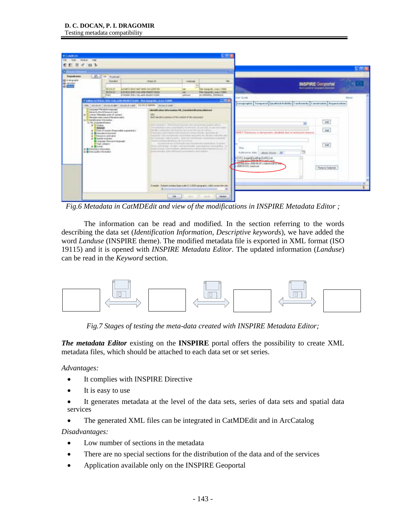| <b>Executives</b><br><b>Bill-kapare</b><br>譜                                                                                                                                  | 25 Lot Today<br><b>Houston</b>                                                                                                                                                                                                                                                                                                                                                                                                                                                        |                                                                                     |                                                                                                                                                                                                                                                                                                                                                                                                            |                                                                                                                                                                                                                                                                                                                                                                                                                                                                                                                                                                                         |                                                                                                                                                                                                                                              |                                                                                                                                     |      |
|-------------------------------------------------------------------------------------------------------------------------------------------------------------------------------|---------------------------------------------------------------------------------------------------------------------------------------------------------------------------------------------------------------------------------------------------------------------------------------------------------------------------------------------------------------------------------------------------------------------------------------------------------------------------------------|-------------------------------------------------------------------------------------|------------------------------------------------------------------------------------------------------------------------------------------------------------------------------------------------------------------------------------------------------------------------------------------------------------------------------------------------------------------------------------------------------------|-----------------------------------------------------------------------------------------------------------------------------------------------------------------------------------------------------------------------------------------------------------------------------------------------------------------------------------------------------------------------------------------------------------------------------------------------------------------------------------------------------------------------------------------------------------------------------------------|----------------------------------------------------------------------------------------------------------------------------------------------------------------------------------------------------------------------------------------------|-------------------------------------------------------------------------------------------------------------------------------------|------|
|                                                                                                                                                                               | <b>Workers</b><br>304415                                                                                                                                                                                                                                                                                                                                                                                                                                                              | 1816438<br>access to seen rate away as a passenger<br>ADDIN HOR CLAY WAS DIRECTORED | <b>Infigures</b><br>$\overline{\phantom{a}}$                                                                                                                                                                                                                                                                                                                                                               | <b>Take</b><br>Flat Insegrably, Arack 47986<br>Flee businesslike broker LERING                                                                                                                                                                                                                                                                                                                                                                                                                                                                                                          |                                                                                                                                                                                                                                              | <b>INSPIRE Geoportal</b><br><b>RAILIARD M SUSSEX SPACES</b>                                                                         |      |
| $\sim$<br>in Chieralisates Interestion<br>(a) FC-Stabilized button<br>a bower<br><b>CLIMINARY</b><br>a Bunk<br><b>B B Debth-Roboldwayers</b><br>at a belo politically entered | V Hollows ALE ROLL (RAD) (Color and the Alberta UCA Add). (Then begings of al. as as is \$10000)<br>FRE COALS IN NAME (SIZEN LOR TOTAL REPORT COALS AND<br>Lens are (Personal charges)<br>the endy tead/heasing track<br>Come of Retains part of carsas.<br>Petados de miara (Petadolo tant<br>A Three of color Simmedia passages)<br><b>B</b> Directation International<br>3 Directory contracts<br><b>Il Electric modulare</b><br>European Detection (expert)<br>T Taylor Libraries |                                                                                     | identification let's mation *6 Europäine displaces deutsch<br>Self-law-dick-cultures of The-called at the necessary fixed<br>That homes also is the fill column to see the concerns to an a advise marked<br>through a superimented and dealership that is a de linear cost den national<br>stated in the dealer for radicious and if their file dealers.<br>arma drago har stormar art armal a published. | ここま<br>THE CONTRACTOR OF A REPORT OF THE CONTRACTOR CONTRACTOR CONTRACTOR<br>Council and alternative article and article interactive of the control of<br>marketing thank over production to the standard appropriation data offered as a specific state of<br>the concernal club can replace a man-any manufacturing company of<br>Telephone to a link dealer experimental committees. In agents<br>to an altitude the cash control and a growning shell and at the<br>hands to private the first and the property of the control of the second interest of the second interest of the | <b>NET GLORE</b><br>2007 They pure is temperately structed that in instrume country.<br>harteries data [ - denot closed - 18]<br>0101 Ingelfastig (att) ve<br>Holivery Stringer very<br>SAMARA (2010) 18-211 Administrator<br>2000 B Clicken | Exception Temperal Grafits Exhibity Contensity Constraints Reportedient<br>M<br>"list"<br>$\overline{a}$<br><b>Plateins Subchot</b> | 43mm |

*Fig.6 Metadata in CatMDEdit and view of the modifications in INSPIRE Metadata Editor ;* 

The information can be read and modified. In the section referring to the words describing the data set (*Identification Information, Descriptive keywords*), we have added the word *Landuse* (INSPIRE theme). The modified metadata file is exported in XML format (ISO 19115) and it is opened with *INSPIRE Metadata Editor*. The updated information (*Landuse*) can be read in the *Keyword* section*.*



*Fig.7 Stages of testing the meta-data created with INSPIRE Metadata Editor;* 

*The metadata Editor* existing on the **INSPIRE** portal offers the possibility to create XML metadata files, which should be attached to each data set or set series.

*Advantages:* 

- It complies with INSPIRE Directive
- It is easy to use
- It generates metadata at the level of the data sets, series of data sets and spatial data services
- The generated XML files can be integrated in CatMDEdit and in ArcCatalog

*Disadvantages:* 

- Low number of sections in the metadata
- There are no special sections for the distribution of the data and of the services
- Application available only on the INSPIRE Geoportal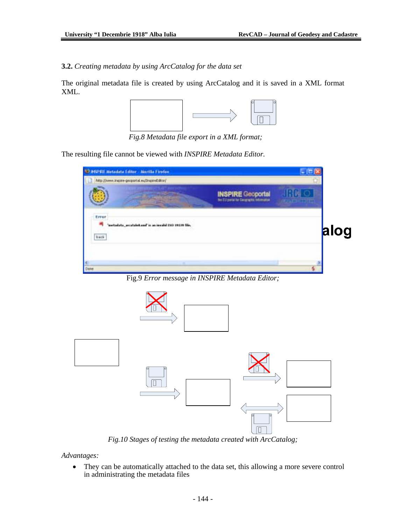# **3.2.** *Creating metadata by using ArcCatalog for the data set*

The original metadata file is created by using ArcCatalog and it is saved in a XML format XML.



*Fig.8 Metadata file export in a XML format;* 

The resulting file cannot be viewed with *INSPIRE Metadata Editor.* 

|               | 12 NSP RE Netadata Editor - Marilla Findax<br>http://www.inspire-geopiartal.wu/InspireEditor/ |                                                                         |      |
|---------------|-----------------------------------------------------------------------------------------------|-------------------------------------------------------------------------|------|
|               |                                                                                               | <b>INSPIRE Geoportal</b><br>the E13 portal for Elevangettic Information |      |
| Error<br>hack | netadata_acatabitand'is an invalid 25D 29139 file.                                            |                                                                         | alog |
| Done          |                                                                                               |                                                                         |      |

Fig.9 *Error message in INSPIRE Metadata Editor;* 



*Fig.10 Stages of testing the metadata created with ArcCatalog;* 

*Advantages:* 

• They can be automatically attached to the data set, this allowing a more severe control in administrating the metadata files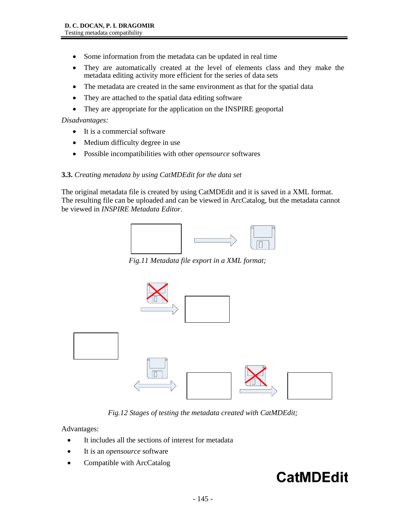- Some information from the metadata can be updated in real time
- They are automatically created at the level of elements class and they make the metadata editing activity more efficient for the series of data sets
- The metadata are created in the same environment as that for the spatial data
- They are attached to the spatial data editing software
- They are appropriate for the application on the INSPIRE geoportal

*Disadvantages:* 

- It is a commercial software
- Medium difficulty degree in use
- Possible incompatibilities with other *opensource* softwares

### **3.3.** *Creating metadata by using CatMDEdit for the data set*

The original metadata file is created by using CatMDEdit and it is saved in a XML format. The resulting file can be uploaded and can be viewed in ArcCatalog, but the metadata cannot be viewed in *INSPIRE Metadata Editor*.



*Fig.11 Metadata file export in a XML format;* 



*Fig.12 Stages of testing the metadata created with CatMDEdit;* 

Advantages:

- It includes all the sections of interest for metadata
- It is an *opensource* software
- Compatible with ArcCatalog

# **CatMDEdit**